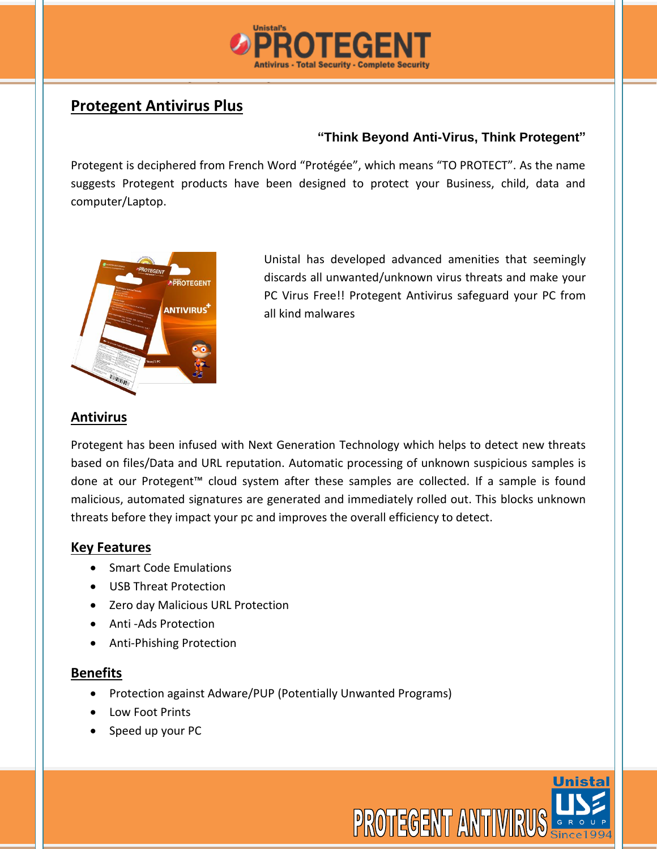

## **Protegent Antivirus Plus**

#### **"Think Beyond Anti-Virus, Think Protegent"**

Protegent is deciphered from French Word "Protégée", which means "TO PROTECT". As the name suggests Protegent products have been designed to protect your Business, child, data and computer/Laptop.



Unistal has developed advanced amenities that seemingly discards all unwanted/unknown virus threats and make your PC Virus Free!! Protegent Antivirus safeguard your PC from all kind malwares

### **Antivirus**

Protegent has been infused with Next Generation Technology which helps to detect new threats based on files/Data and URL reputation. Automatic processing of unknown suspicious samples is done at our Protegent™ cloud system after these samples are collected. If a sample is found malicious, automated signatures are generated and immediately rolled out. This blocks unknown threats before they impact your pc and improves the overall efficiency to detect.

#### **Key Features**

- Smart Code Emulations
- USB Threat Protection
- Zero day Malicious URL Protection
- Anti -Ads Protection
- Anti-Phishing Protection

#### **Benefits**

- Protection against Adware/PUP (Potentially Unwanted Programs)
- Low Foot Prints
- Speed up your PC

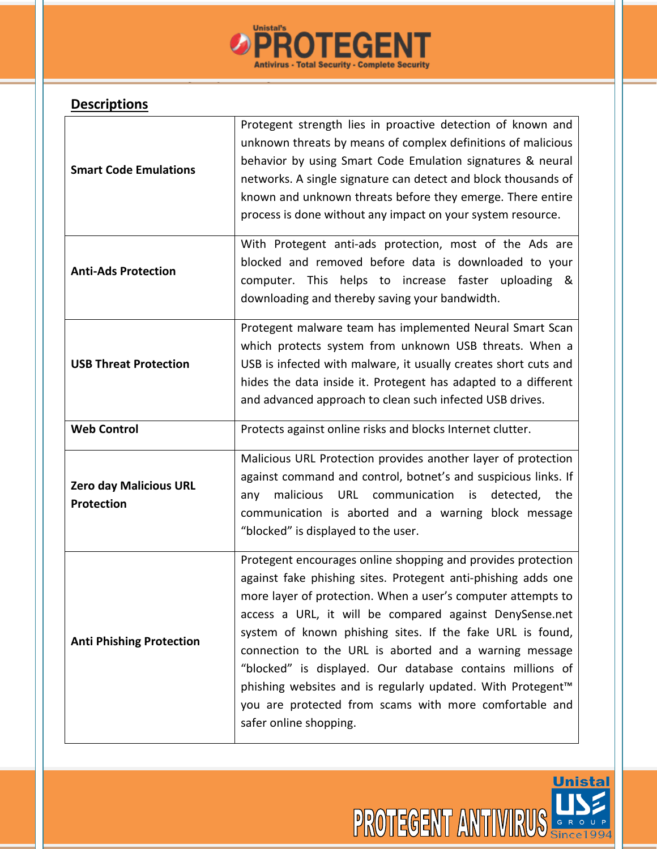

# **Descriptions**

| <b>Smart Code Emulations</b>                | Protegent strength lies in proactive detection of known and<br>unknown threats by means of complex definitions of malicious<br>behavior by using Smart Code Emulation signatures & neural<br>networks. A single signature can detect and block thousands of<br>known and unknown threats before they emerge. There entire<br>process is done without any impact on your system resource.                                                                                                                                                                                                                    |
|---------------------------------------------|-------------------------------------------------------------------------------------------------------------------------------------------------------------------------------------------------------------------------------------------------------------------------------------------------------------------------------------------------------------------------------------------------------------------------------------------------------------------------------------------------------------------------------------------------------------------------------------------------------------|
| <b>Anti-Ads Protection</b>                  | With Protegent anti-ads protection, most of the Ads are<br>blocked and removed before data is downloaded to your<br>computer. This helps to increase faster uploading &<br>downloading and thereby saving your bandwidth.                                                                                                                                                                                                                                                                                                                                                                                   |
| <b>USB Threat Protection</b>                | Protegent malware team has implemented Neural Smart Scan<br>which protects system from unknown USB threats. When a<br>USB is infected with malware, it usually creates short cuts and<br>hides the data inside it. Protegent has adapted to a different<br>and advanced approach to clean such infected USB drives.                                                                                                                                                                                                                                                                                         |
| <b>Web Control</b>                          | Protects against online risks and blocks Internet clutter.                                                                                                                                                                                                                                                                                                                                                                                                                                                                                                                                                  |
| Zero day Malicious URL<br><b>Protection</b> | Malicious URL Protection provides another layer of protection<br>against command and control, botnet's and suspicious links. If<br>malicious<br>communication<br>detected, the<br>URL<br>is<br>any<br>communication is aborted and a warning block message<br>"blocked" is displayed to the user.                                                                                                                                                                                                                                                                                                           |
| <b>Anti Phishing Protection</b>             | Protegent encourages online shopping and provides protection<br>against fake phishing sites. Protegent anti-phishing adds one<br>more layer of protection. When a user's computer attempts to<br>access a URL, it will be compared against DenySense.net<br>system of known phishing sites. If the fake URL is found,<br>connection to the URL is aborted and a warning message<br>"blocked" is displayed. Our database contains millions of<br>phishing websites and is regularly updated. With Protegent <sup>™</sup><br>you are protected from scams with more comfortable and<br>safer online shopping. |